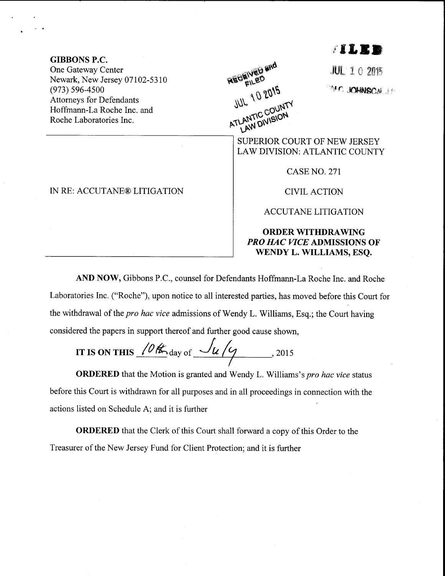## j's&rD

GIBBONS P.C. One Gateway Center Newark, New Jersey 07102-5310 (e73) s96-4s00 Attorneys for Defendants Hoffmann-La Roche Inc. and Roche Laboratories Inc.

AEGEIVED and ATLANTIC COUNTY

**JUL 102015** 

'Y C .KOHNSCA J P

SUPERIOR COURT OF NEW JERSEY LAW DIVISION: ATLANTIC COUNTY

CASE NO. 271

**CIVIL ACTION** 

ACCUTANE LITIGATION

## ORDER WITHDRAWING PRO HAC VICE ADMISSIONS OF WENDY L. WILLIAMS, ESQ.

AND NOW, Gibbons P.C., counsel for Defendants Hoffmann-La Roche Inc. and Roche Laboratories Inc. ("Roche"), upon notice to all interested parties, has moved before this Court for the withdrawal of the *pro hac vice* admissions of Wendy L. Williams, Esq.; the Court having considered the papers in support thereof and further good cause shown,

IT IS ON THIS  $\sqrt{\frac{\theta K}{\omega}}$  day of  $\frac{\int u}{\sqrt{9}}$ , 2015

**ORDERED** that the Motion is granted and Wendy L. Williams's pro hac vice status before this Court is withdrawn for all purposes and in all proceedings in connection with the actions listed on Schedule A; and it is further

ORDERED that the Clerk of this Court shall forward a copy of this Order to the Treasurer of the New Jersey Fund for Client Protection; and it is funher

IN RE: ACCUTANE® LITIGATION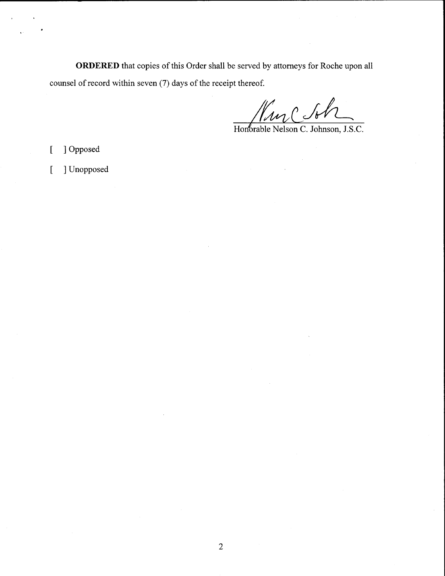ORDERED that copies of this Order shall be served by attorneys for Roche upon all counsel of record within seven (7) days of the receipt thereof.

Kinclot

Honorable Nelson C. Johnson, J.S.C.

I Opposed  $\overline{a}$ 

I Unopposed  $\left[ \right]$